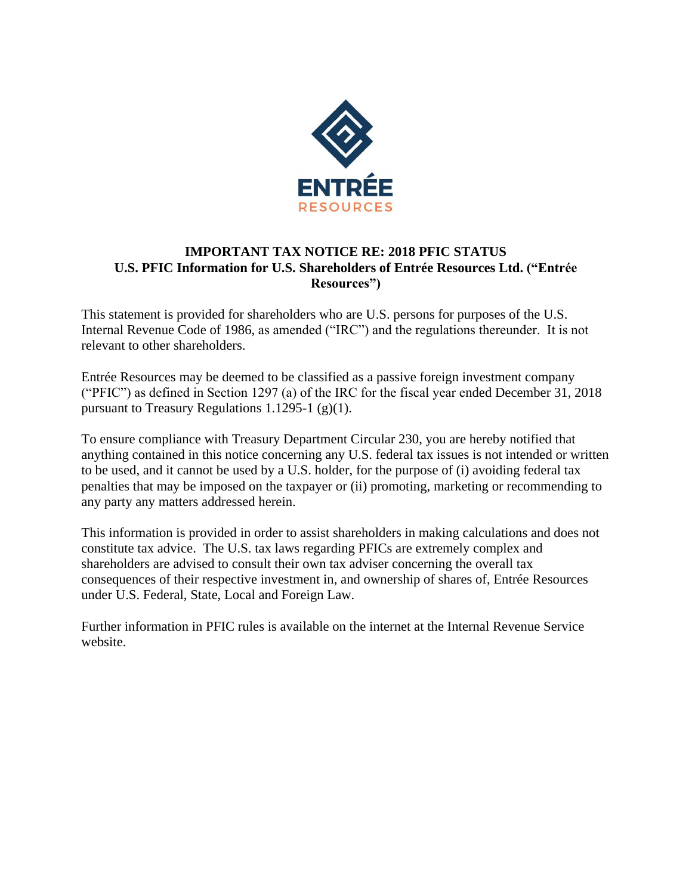

## **IMPORTANT TAX NOTICE RE: 2018 PFIC STATUS U.S. PFIC Information for U.S. Shareholders of Entrée Resources Ltd. ("Entrée Resources")**

This statement is provided for shareholders who are U.S. persons for purposes of the U.S. Internal Revenue Code of 1986, as amended ("IRC") and the regulations thereunder. It is not relevant to other shareholders.

Entrée Resources may be deemed to be classified as a passive foreign investment company ("PFIC") as defined in Section 1297 (a) of the IRC for the fiscal year ended December 31, 2018 pursuant to Treasury Regulations 1.1295-1  $(g)(1)$ .

To ensure compliance with Treasury Department Circular 230, you are hereby notified that anything contained in this notice concerning any U.S. federal tax issues is not intended or written to be used, and it cannot be used by a U.S. holder, for the purpose of (i) avoiding federal tax penalties that may be imposed on the taxpayer or (ii) promoting, marketing or recommending to any party any matters addressed herein.

This information is provided in order to assist shareholders in making calculations and does not constitute tax advice. The U.S. tax laws regarding PFICs are extremely complex and shareholders are advised to consult their own tax adviser concerning the overall tax consequences of their respective investment in, and ownership of shares of, Entrée Resources under U.S. Federal, State, Local and Foreign Law.

Further information in PFIC rules is available on the internet at the Internal Revenue Service website.